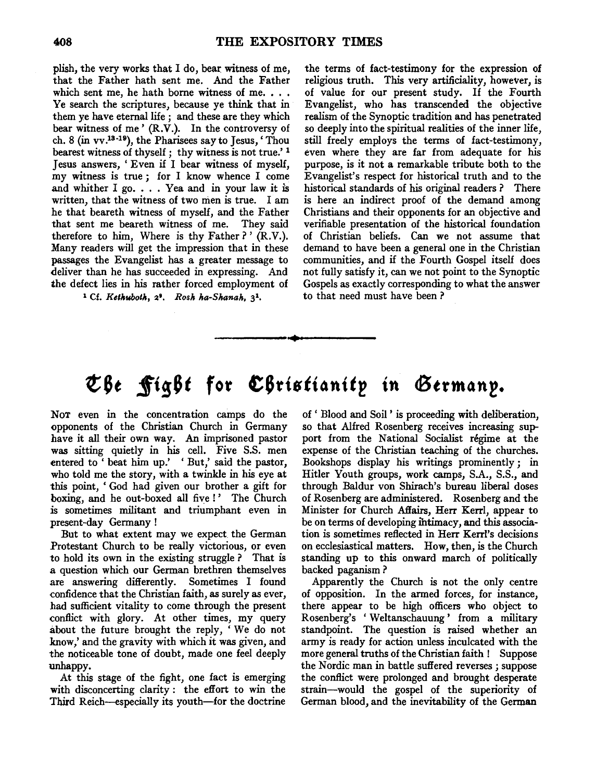plish, the very works that I do, bear witness of me, that the Father bath sent me. And the Father which sent me, he hath borne witness of me. . . . Ye search the scriptures, because ye think that in them ye have eternal life; and these are they which bear witness of me' (R.V.). In the controversy of eh. 8 (in vv.13 - 19), the Pharisees say to Jesus,' Thou bearest witness of thyself ; thy witness is not true.' <sup>1</sup> Jesus answers, ' Even if I bear witness of myself, my witness is true ; for I know whence I come and whither  $I$  go.  $\ldots$  Yea and in your law it is written, that the witness of two men is true. I am he that beareth witness of myself, and the Father that sent me beareth witness of me. They said therefore to him, Where is thy Father?' (R.V.). Many readers will get the impression that in these passages the Evangelist has a greater message to deliver than he has succeeded in expressing. And the defect lies in his rather forced employment of<br><sup>1</sup> Cf. *Kethuboth*, <sup>29</sup>. *Rosh ha-Shanah*, <sup>31</sup>

the terms of fact-testimony for the expression of religious truth. This very artificiality, however, is of value for our present study. If the Fourth Evangelist, who has transcended the objective realism of the Synoptic tradition and has penetrated so deeply into the spiritual realities of the inner life, still freely employs the terms of fact-testimony, even where they are far from adequate for his purpose, is it not a remarkable tribute both to the Evangelist's respect for historical truth and to the historical standards of his original readers ? There is here an indirect proof of the demand among Christians and their opponents for an objective and verifiable presentation of the historical foundation of Christian beliefs. Can we not assume that demand to have been a general one in the Christian communities, and if the Fourth Gospel itself does not fully satisfy it, can we not point to the Synoptic Gospels as exactly corresponding to what the answer to that need must have been ?

# Eße figßt for Eßristianity in Germany.

NoT even in the concentration camps do the opponents of the Christian Church in Germany have it all their own way. An imprisoned pastor was sitting quietly in his cell. Five S.S. men entered to ' beat him up.' ' But,' said the pastor, who told me the story, with a twinkle in his eye at this point, ' God had given our brother a gift for boxing, and he out-boxed all five !' The Church is sometimes militant and triumphant even in present-day Germany!

But to what extent may we expect the German Protestant Church to be really victorious, or even to hold its own in the existing struggle ? That is a question which our German brethren themselves are answering differently. Sometimes I found confidence that the Christian faith, as surely as ever, had sufficient vitality to come through the present conflict with glory. At other times, my query about the future brought the reply, 'We do not know,' and the gravity with which it was given, and the noticeable tone of doubt, made one feel deeply unhappy.

At this stage of the fight, one fact is emerging with disconcerting clarity: the effort to win the Third Reich-especially its youth-for the doctrine

of ' Blood and Soil ' is proceeding with deliberation, so that Alfred Rosenberg receives increasing support from the National Socialist regime at the expense of the Christian teaching of the churches. Bookshops display his writings prominently; in Hitler Youth groups, work camps, S.A., S.S., and through Baldur von Shirach's bureau liberal doses of Rosenberg are administered. Rosenberg and the Minister for Church Affairs, Herr Kerrl, appear to be on terms of developing ihtimacy, and this association is sometimes reflected in Herr Kerrl's decisions on ecclesiastical matters. How, then, is the Church standing up to this onward march of politically backed paganism ?

Apparently the Church is not the only centre of opposition. In the armed forces, for instance, there appear to be high officers who object to Rosenberg's 'Weltanschauung' from a military standpoint. The question is raised whether an army is ready for action unless inculcated with the more general truths of the Christian faith ! Suppose the Nordic man in battle suffered reverses; suppose the conflict were prolonged and brought desperate strain-would the gospel of the superiority of German blood, and the inevitability of the German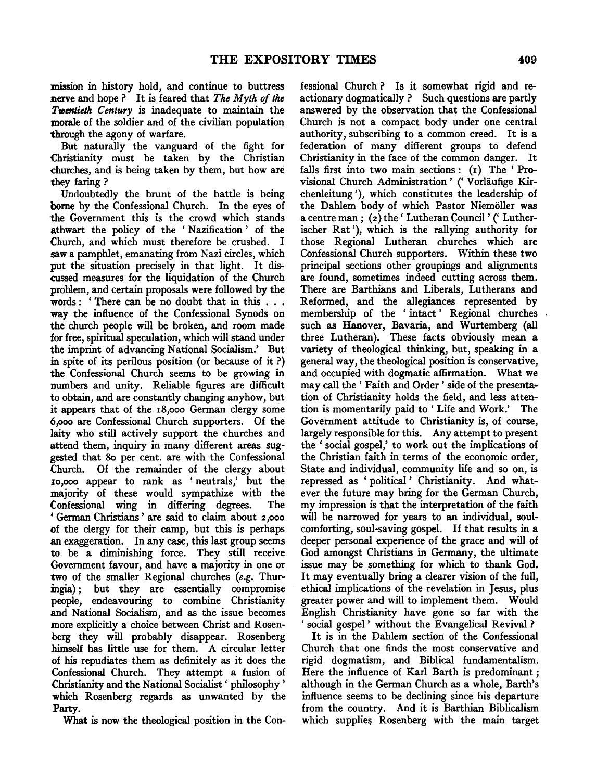mission in history hold, and continue to buttress nerve and hope? It is feared that *The Myth of the*  Twentieth Century is inadequate to maintain the morale of the soldier and of the civilian population throcgh the agony of warfare.

But naturally the vanguard of the fight for Christianity must be taken by the Christian churches, and is being taken by them, but how are they faring ?

Undoubtedly the brunt of the battle is being borne by the Confessional Church. In the eyes of the Government this is the crowd which stands athwart the policy of the 'Nazification' of the Church, and which must therefore be crushed. I saw a pamphlet, emanating from Nazi circles, which put the situation precisely in that light. It discussed measures for the liquidation of the Church problem, and certain proposals were followed by the words: 'There can be no doubt that in this ... way the influence of the Confessional Synods on the church people will be broken, and room made for free, spiritual speculation, which will stand under the imprint of advancing National Socialism.' But in spite of its perilous position (or because of it?) the Confessional Church seems to be growing in numbers and unity. Reliable figures are difficult to obtain, and are constantly changing anyhow, but it appears that of the 18,000 German clergy some 6,ooo are Confessional Church supporters. Of the laity who still actively support the churches and attend them, inquiry in many different areas suggested that 8o per cent. are with the Confessional Church. Of the remainder of the clergy about xo,ooo appear to rank as ' neutrals,' but the majority of these would sympathize with the Confessional wing in differing degrees. The ' German Christians ' are said to claim about 2 ,ooo of the clergy for their camp, but this is perhaps an exaggeration. In any case, this last group seems to be a diminishing force. They still receive Government favour, and have a majority in one or two of the smaller Regional churches *(e.g.* Thuringia); but they are essentially compromise people, endeavouring to combine Christianity and National Socialism, and as the issue becomes more explicitly a choice between Christ and Rosenberg they will probably disappear. Rosenberg himself has little use for them. A circular letter of his repudiates them as definitely as it does the Confessional Church. They attempt a fusion of Christianity and the National Socialist' philosophy' which Rosenberg regards as unwanted by the Party.

What is now the theological position in the Con-

fessional Church ? Is it somewhat rigid and reactionary dogmatically ? Such questions are partly answered by the observation that the Confessional Church is not a compact body under one central authority, subscribing to a common creed. It is a federation of many different groups to defend Christianity in the face of the common danger. It falls first into two main sections: (x) The 'Provisional Church Administration ' (' Vorläufige Kirchenleitung '), which constitutes the leadership of the Dahlem body of which Pastor Niemoller was a centre man ; (2) the 'Lutheran Council ' ('Lutherischer Rat'), which is the rallying authority for those Regional Lutheran churches which are Confessional Church supporters. Within these two principal sections other groupings and alignments are found, sometimes indeed cutting across them. There are Barthians and Liberals, Lutherans and Reformed, and the allegiances represented by membership of the ' intact ' Regional churches such as Hanover, Bavaria, and Wurtemberg (all three Lutheran). These facts obviously mean a variety of theological thinking, but, speaking in a general way, the theological position is conservative, and occupied with dogmatic affirmation. What we may call the ' Faith and Order ' side of the presentation of Christianity holds the field, and less attention is momentarily paid to ' Life and Work.' The Government attitude to Christianity is, of course, largely responsible for this. Any attempt to present the 'social gospel,' to work out the implications of the Christian faith in terms of the economic order, State and individual, community life and so on, is repressed as 'political' Christianity. And whatever the future may bring for the German Church, my impression is that the interpretation of the faith will be narrowed for years to an individual, soulcomforting, soul-saving gospel. If that results in a deeper personal experience of the grace and will of God amongst Christians in Germany, the ultimate issue may be something for which to thank God. It may eventually bring a clearer vision of the full, ethical implications of the revelation in Jesus, plus greater power and will to implement them. Would English Christianity have gone so far with the ' social gospel ' without the Evangelical Revival ?

It is in the Dahlem section of the Confessional Church that one finds the most conservative and rigid dogmatism, and Biblical fundamentalism. Here the influence of Karl Barth is predominant ; although in the German Church as a whole, Barth's influence seems to be declining since his departure from the country. And it is Barthian Biblicalism which supplies Rosenberg with the main target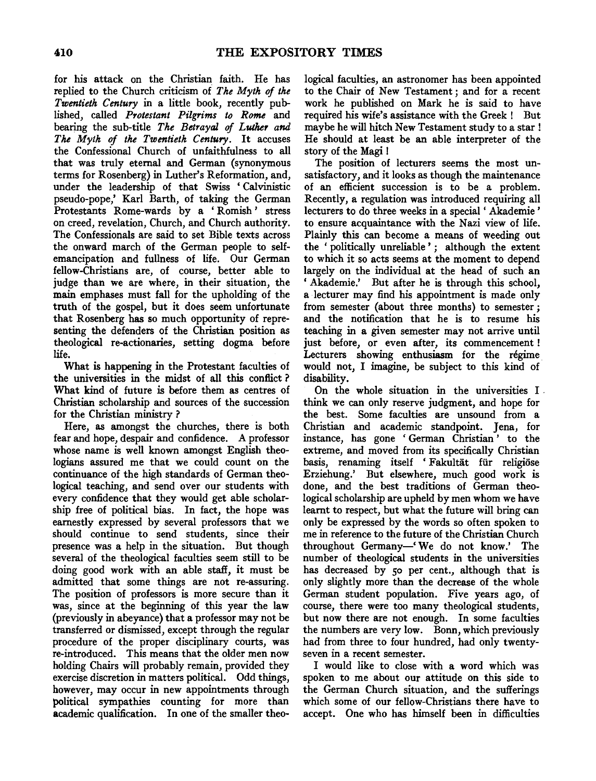for his attack on the Christian faith. He has replied to the Church criticism of *The Myth of the Twentieth Century* in a little book, recently published, called *Protestant Pilgrims to Rome* and bearing the sub-title *The Betrayal of Luther and The Myth of the Twentieth Century.* It accuses the Confessional Church of unfaithfulness to all that was truly eternal and German (synonymous terms for Rosenberg) in Luther's Reformation, and, under the leadership of that Swiss ' Calvinistic pseudo-pope,' Karl Barth, of taking the German Protestants Rome-wards by a ' Romish ' stress on creed, revelation, Church, and Church authority. The Confessionals are said to set Bible texts across the onward march of the German people to selfemancipation and fullness of life. Our German fellow-Christians are, of course, better able to judge than we are where, in their situation, the main emphases must fall for the upholding of the truth of the gospel, but it does seem unfortunate that Rosenberg has so much opportunity of representing the defenders of the Christian position as theological re-actionaries, setting dogma before life.

What is happening in the Protestant faculties of the universities in the midst of all this conflict ? What kind of future is before them as centres of Christian scholarship and sources of the succession for the Christian ministry ?

Here, as amongst the churches, there is both fear and hope, despair and confidence. A professor whose name is well known amongst English theologians assured me that we could count on the continuance of the high standards of German theological teaching, and send over our students with every confidence that they would get able scholarship free of political bias. In fact, the hope was earnestly expressed by several professors that we should continue to send students, since their presence was a help in the situation. But though several of the theological faculties seem still to be doing good work with an able staff, it must be admitted that some things are not re-assuring. The position of professors is more secure than it was, since at the beginning of this year the law (previously in abeyance) that a professor may not be transferred or dismissed, except through the regular procedure of the proper disciplinary courts, was re-introduced. This means that the older men now holding Chairs will probably remain, provided they exercise discretion in matters political. Odd things, however, may occur in new appointments through political sympathies counting for more than academic qualification. In one of the smaller theological faculties, an astronomer has been appointed to the Chair of New Testament; and for a recent work he published on Mark he is said to have required his wife's assistance with the Greek ! But maybe he will hitch New Testament study to a star! He should at least be an able interpreter of the story of the Magi I

The position of lecturers seems the most unsatisfactory, and it looks as though the maintenance of an efficient succession is to be a problem. Recently, a regulation was introduced requiring all lecturers to do three weeks in a special ' Akademie ' to ensure acquaintance with the Nazi view of life. Plainly this can become a means of weeding out the 'politically unreliable'; although the extent to which it so acts seems at the moment to depend largely on the individual at the head of such an ' Akademie.' But after he is through this school, a lecturer may find his appointment is made only from semester (about three months) to semester; and the notification that he is to resume his teaching in a given semester may not arrive until just before, or even after, its commencement! Lecturers showing enthusiasm for the régime would not, I imagine, be subject to this kind of disability.

On the whole situation in the universities I think we can only reserve judgment, and hope for the best. Some faculties are unsound from a Christian and academic standpoint. Jena, for instance, has gone 'German Christian' to the extreme, and moved from its specifically Christian basis, renaming itself 'Fakultat fiir religiose Erziehung.' But elsewhere, much good work is done, and the best traditions of German theological scholarship are upheld by men whom we have learnt to respect, but what the future will bring can only be expressed by the words so often spoken to me in reference to the future of the Christian Church throughout Germany-' We do not know.' The number of theological students in the universities has decreased by *so* per cent., although that is only slightly more than the decrease of the whole German student population. Five years ago, of course, there were too many theological students, but now there are not enough. In some faculties the numbers are very low. Bonn, which previously had from three to four hundred, had only twentyseven in a recent semester.

I would like to close with a word which was spoken to me about our attitude on this side to the German Church situation, and the sufferings which some of our fellow-Christians there have to accept. One who has himself been in difficulties